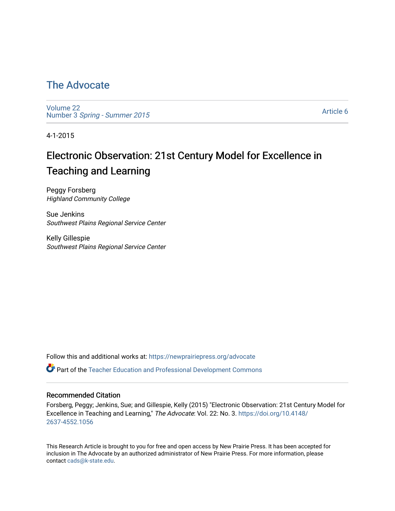## [The Advocate](https://newprairiepress.org/advocate)

[Volume 22](https://newprairiepress.org/advocate/vol22) Number 3 [Spring - Summer 2015](https://newprairiepress.org/advocate/vol22/iss3) 

[Article 6](https://newprairiepress.org/advocate/vol22/iss3/6) 

4-1-2015

# Electronic Observation: 21st Century Model for Excellence in Teaching and Learning

Peggy Forsberg Highland Community College

Sue Jenkins Southwest Plains Regional Service Center

Kelly Gillespie Southwest Plains Regional Service Center

Follow this and additional works at: [https://newprairiepress.org/advocate](https://newprairiepress.org/advocate?utm_source=newprairiepress.org%2Fadvocate%2Fvol22%2Fiss3%2F6&utm_medium=PDF&utm_campaign=PDFCoverPages) 

Part of the [Teacher Education and Professional Development Commons](http://network.bepress.com/hgg/discipline/803?utm_source=newprairiepress.org%2Fadvocate%2Fvol22%2Fiss3%2F6&utm_medium=PDF&utm_campaign=PDFCoverPages) 

#### Recommended Citation

Forsberg, Peggy; Jenkins, Sue; and Gillespie, Kelly (2015) "Electronic Observation: 21st Century Model for Excellence in Teaching and Learning," The Advocate: Vol. 22: No. 3. [https://doi.org/10.4148/](https://doi.org/10.4148/2637-4552.1056) [2637-4552.1056](https://doi.org/10.4148/2637-4552.1056) 

This Research Article is brought to you for free and open access by New Prairie Press. It has been accepted for inclusion in The Advocate by an authorized administrator of New Prairie Press. For more information, please contact [cads@k-state.edu](mailto:cads@k-state.edu).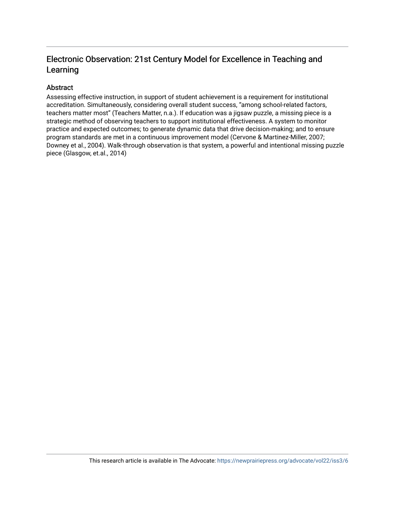#### Electronic Observation: 21st Century Model for Excellence in Teaching and Learning

#### Abstract

Assessing effective instruction, in support of student achievement is a requirement for institutional accreditation. Simultaneously, considering overall student success, "among school-related factors, teachers matter most" (Teachers Matter, n.a.). If education was a jigsaw puzzle, a missing piece is a strategic method of observing teachers to support institutional effectiveness. A system to monitor practice and expected outcomes; to generate dynamic data that drive decision-making; and to ensure program standards are met in a continuous improvement model (Cervone & Martinez-Miller, 2007; Downey et al., 2004). Walk-through observation is that system, a powerful and intentional missing puzzle piece (Glasgow, et.al., 2014)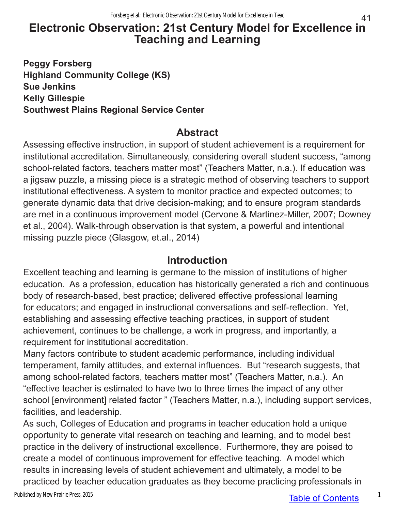### 41 **Electronic Observation: 21st Century Model for Excellence in Teaching and Learning**

**Peggy Forsberg Highland Community College (KS) Sue Jenkins Kelly Gillespie Southwest Plains Regional Service Center**

## **Abstract**

Assessing effective instruction, in support of student achievement is a requirement for institutional accreditation. Simultaneously, considering overall student success, "among school-related factors, teachers matter most" (Teachers Matter, n.a.). If education was a jigsaw puzzle, a missing piece is a strategic method of observing teachers to support institutional effectiveness. A system to monitor practice and expected outcomes; to generate dynamic data that drive decision-making; and to ensure program standards are met in a continuous improvement model (Cervone & Martinez-Miller, 2007; Downey et al., 2004). Walk-through observation is that system, a powerful and intentional missing puzzle piece (Glasgow, et.al., 2014)

## **Introduction**

Excellent teaching and learning is germane to the mission of institutions of higher education. As a profession, education has historically generated a rich and continuous body of research-based, best practice; delivered effective professional learning for educators; and engaged in instructional conversations and self-reflection. Yet, establishing and assessing effective teaching practices, in support of student achievement, continues to be challenge, a work in progress, and importantly, a requirement for institutional accreditation.

Many factors contribute to student academic performance, including individual temperament, family attitudes, and external influences. But "research suggests, that among school-related factors, teachers matter most" (Teachers Matter, n.a.). An "effective teacher is estimated to have two to three times the impact of any other school [environment] related factor " (Teachers Matter, n.a.), including support services, facilities, and leadership.

As such, Colleges of Education and programs in teacher education hold a unique opportunity to generate vital research on teaching and learning, and to model best practice in the delivery of instructional excellence. Furthermore, they are poised to create a model of continuous improvement for effective teaching. A model which results in increasing levels of student achievement and ultimately, a model to be practiced by teacher education graduates as they become practicing professionals in

Published by New Prairie Press, 2015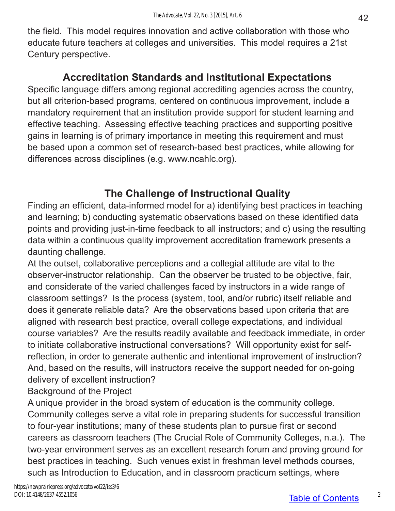the field. This model requires innovation and active collaboration with those who educate future teachers at colleges and universities. This model requires a 21st Century perspective.

## **Accreditation Standards and Institutional Expectations**

Specific language differs among regional accrediting agencies across the country, but all criterion-based programs, centered on continuous improvement, include a mandatory requirement that an institution provide support for student learning and effective teaching. Assessing effective teaching practices and supporting positive gains in learning is of primary importance in meeting this requirement and must be based upon a common set of research-based best practices, while allowing for differences across disciplines (e.g. www.ncahlc.org).

## **The Challenge of Instructional Quality**

Finding an efficient, data-informed model for a) identifying best practices in teaching and learning; b) conducting systematic observations based on these identified data points and providing just-in-time feedback to all instructors; and c) using the resulting data within a continuous quality improvement accreditation framework presents a daunting challenge.

At the outset, collaborative perceptions and a collegial attitude are vital to the observer-instructor relationship. Can the observer be trusted to be objective, fair, and considerate of the varied challenges faced by instructors in a wide range of classroom settings? Is the process (system, tool, and/or rubric) itself reliable and does it generate reliable data? Are the observations based upon criteria that are aligned with research best practice, overall college expectations, and individual course variables? Are the results readily available and feedback immediate, in order to initiate collaborative instructional conversations? Will opportunity exist for selfreflection, in order to generate authentic and intentional improvement of instruction? And, based on the results, will instructors receive the support needed for on-going delivery of excellent instruction?

Background of the Project

A unique provider in the broad system of education is the community college. Community colleges serve a vital role in preparing students for successful transition to four-year institutions; many of these students plan to pursue first or second careers as classroom teachers (The Crucial Role of Community Colleges, n.a.). The two-year environment serves as an excellent research forum and proving ground for best practices in teaching. Such venues exist in freshman level methods courses, such as Introduction to Education, and in classroom practicum settings, where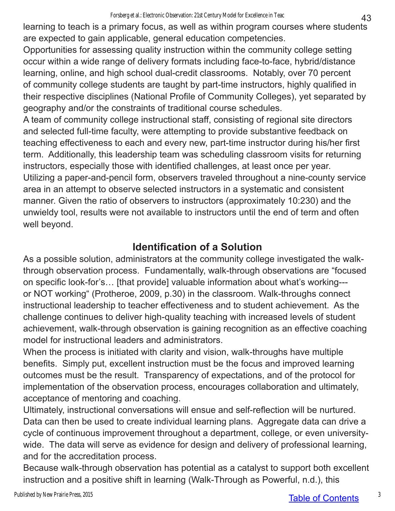learning to teach is a primary focus, as well as within program courses where students are expected to gain applicable, general education competencies.

Opportunities for assessing quality instruction within the community college setting occur within a wide range of delivery formats including face-to-face, hybrid/distance learning, online, and high school dual-credit classrooms. Notably, over 70 percent of community college students are taught by part-time instructors, highly qualified in their respective disciplines (National Profile of Community Colleges), yet separated by geography and/or the constraints of traditional course schedules.

A team of community college instructional staff, consisting of regional site directors and selected full-time faculty, were attempting to provide substantive feedback on teaching effectiveness to each and every new, part-time instructor during his/her first term. Additionally, this leadership team was scheduling classroom visits for returning instructors, especially those with identified challenges, at least once per year. Utilizing a paper-and-pencil form, observers traveled throughout a nine-county service area in an attempt to observe selected instructors in a systematic and consistent manner. Given the ratio of observers to instructors (approximately 10:230) and the unwieldy tool, results were not available to instructors until the end of term and often well beyond.

# **Identification of a Solution**

As a possible solution, administrators at the community college investigated the walkthrough observation process. Fundamentally, walk-through observations are "focused on specific look-for's… [that provide] valuable information about what's working-- or NOT working" (Protheroe, 2009, p.30) in the classroom. Walk-throughs connect instructional leadership to teacher effectiveness and to student achievement. As the challenge continues to deliver high-quality teaching with increased levels of student achievement, walk-through observation is gaining recognition as an effective coaching model for instructional leaders and administrators.

When the process is initiated with clarity and vision, walk-throughs have multiple benefits. Simply put, excellent instruction must be the focus and improved learning outcomes must be the result. Transparency of expectations, and of the protocol for implementation of the observation process, encourages collaboration and ultimately, acceptance of mentoring and coaching.

Ultimately, instructional conversations will ensue and self-reflection will be nurtured. Data can then be used to create individual learning plans. Aggregate data can drive a cycle of continuous improvement throughout a department, college, or even universitywide. The data will serve as evidence for design and delivery of professional learning, and for the accreditation process.

Because walk-through observation has potential as a catalyst to support both excellent instruction and a positive shift in learning (Walk-Through as Powerful, n.d.), this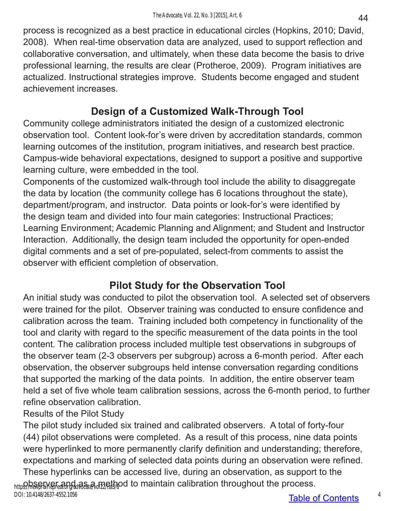process is recognized as a best practice in educational circles (Hopkins, 2010; David, 2008). When real-time observation data are analyzed, used to support reflection and collaborative conversation, and ultimately, when these data become the basis to drive professional learning, the results are clear (Protheroe, 2009). Program initiatives are actualized. Instructional strategies improve. Students become engaged and student achievement increases.

# **Design of a Customized Walk-Through Tool**

Community college administrators initiated the design of a customized electronic observation tool. Content look-for's were driven by accreditation standards, common learning outcomes of the institution, program initiatives, and research best practice. Campus-wide behavioral expectations, designed to support a positive and supportive learning culture, were embedded in the tool.

Components of the customized walk-through tool include the ability to disaggregate the data by location (the community college has 6 locations throughout the state), department/program, and instructor. Data points or look-for's were identified by the design team and divided into four main categories: Instructional Practices; Learning Environment; Academic Planning and Alignment; and Student and Instructor Interaction. Additionally, the design team included the opportunity for open-ended digital comments and a set of pre-populated, select-from comments to assist the observer with efficient completion of observation.

# **Pilot Study for the Observation Tool**

An initial study was conducted to pilot the observation tool. A selected set of observers were trained for the pilot. Observer training was conducted to ensure confidence and calibration across the team. Training included both competency in functionality of the tool and clarity with regard to the specific measurement of the data points in the tool content. The calibration process included multiple test observations in subgroups of the observer team (2-3 observers per subgroup) across a 6-month period. After each observation, the observer subgroups held intense conversation regarding conditions that supported the marking of the data points. In addition, the entire observer team held a set of five whole team calibration sessions, across the 6-month period, to further refine observation calibration.

Results of the Pilot Study

The pilot study included six trained and calibrated observers. A total of forty-four (44) pilot observations were completed. As a result of this process, nine data points were hyperlinked to more permanently clarify definition and understanding; therefore, expectations and marking of selected data points during an observation were refined.

These hyperlinks can be accessed live, during an observation, as support to the հարջի անութե առանց անությունների մեր ունեց անությունների հետ անում է modess.<br>Խարձայի անուցել է առանց առանց առանց առանց առանց առանց առանց անուց անուց անուց անուց անուց անում է առանց առանց DOI: 10.4148/2637-4552.1056

44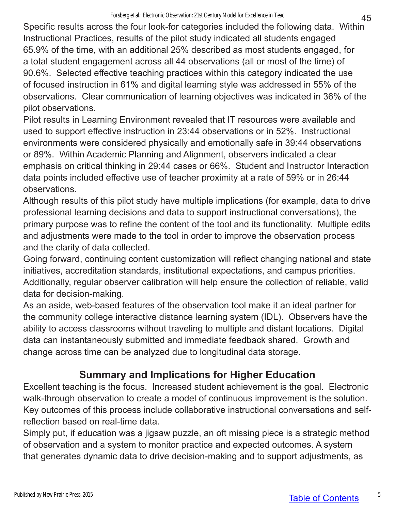Specific results across the four look-for categories included the following data. Within Instructional Practices, results of the pilot study indicated all students engaged 65.9% of the time, with an additional 25% described as most students engaged, for a total student engagement across all 44 observations (all or most of the time) of 90.6%. Selected effective teaching practices within this category indicated the use of focused instruction in 61% and digital learning style was addressed in 55% of the observations. Clear communication of learning objectives was indicated in 36% of the pilot observations.

Pilot results in Learning Environment revealed that IT resources were available and used to support effective instruction in 23:44 observations or in 52%. Instructional environments were considered physically and emotionally safe in 39:44 observations or 89%. Within Academic Planning and Alignment, observers indicated a clear emphasis on critical thinking in 29:44 cases or 66%. Student and Instructor Interaction data points included effective use of teacher proximity at a rate of 59% or in 26:44 observations.

Although results of this pilot study have multiple implications (for example, data to drive professional learning decisions and data to support instructional conversations), the primary purpose was to refine the content of the tool and its functionality. Multiple edits and adjustments were made to the tool in order to improve the observation process and the clarity of data collected.

Going forward, continuing content customization will reflect changing national and state initiatives, accreditation standards, institutional expectations, and campus priorities. Additionally, regular observer calibration will help ensure the collection of reliable, valid data for decision-making.

As an aside, web-based features of the observation tool make it an ideal partner for the community college interactive distance learning system (IDL). Observers have the ability to access classrooms without traveling to multiple and distant locations. Digital data can instantaneously submitted and immediate feedback shared. Growth and change across time can be analyzed due to longitudinal data storage.

# **Summary and Implications for Higher Education**

Excellent teaching is the focus. Increased student achievement is the goal. Electronic walk-through observation to create a model of continuous improvement is the solution. Key outcomes of this process include collaborative instructional conversations and selfreflection based on real-time data.

Simply put, if education was a jigsaw puzzle, an oft missing piece is a strategic method of observation and a system to monitor practice and expected outcomes. A system that generates dynamic data to drive decision-making and to support adjustments, as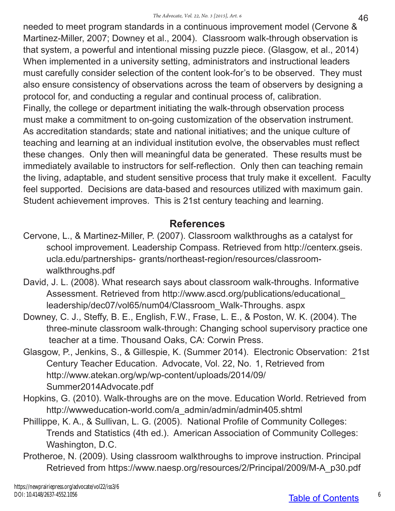needed to meet program standards in a continuous improvement model (Cervone & Martinez-Miller, 2007; Downey et al., 2004). Classroom walk-through observation is that system, a powerful and intentional missing puzzle piece. (Glasgow, et al., 2014) When implemented in a university setting, administrators and instructional leaders must carefully consider selection of the content look-for's to be observed. They must also ensure consistency of observations across the team of observers by designing a protocol for, and conducting a regular and continual process of, calibration. Finally, the college or department initiating the walk-through observation process must make a commitment to on-going customization of the observation instrument. As accreditation standards; state and national initiatives; and the unique culture of teaching and learning at an individual institution evolve, the observables must reflect these changes. Only then will meaningful data be generated. These results must be immediately available to instructors for self-reflection. Only then can teaching remain the living, adaptable, and student sensitive process that truly make it excellent. Faculty feel supported. Decisions are data-based and resources utilized with maximum gain. Student achievement improves. This is 21st century teaching and learning.

## **References**

- Cervone, L., & Martinez-Miller, P. (2007). Classroom walkthroughs as a catalyst for school improvement. Leadership Compass. Retrieved from http://centerx.gseis. ucla.edu/partnerships- grants/northeast-region/resources/classroomwalkthroughs.pdf
- David, J. L. (2008). What research says about classroom walk-throughs. Informative Assessment. Retrieved from http://www.ascd.org/publications/educational\_ leadership/dec07/vol65/num04/Classroom\_Walk-Throughs. aspx
- Downey, C. J., Steffy, B. E., English, F.W., Frase, L. E., & Poston, W. K. (2004). The three-minute classroom walk-through: Changing school supervisory practice one teacher at a time. Thousand Oaks, CA: Corwin Press.
- Glasgow, P., Jenkins, S., & Gillespie, K. (Summer 2014). Electronic Observation: 21st Century Teacher Education. Advocate, Vol. 22, No. 1, Retrieved from http://www.atekan.org/wp/wp-content/uploads/2014/09/ Summer2014Advocate.pdf
- Hopkins, G. (2010). Walk-throughs are on the move. Education World. Retrieved from http://wwweducation-world.com/a\_admin/admin/admin405.shtml
- Phillippe, K. A., & Sullivan, L. G. (2005). National Profile of Community Colleges: Trends and Statistics (4th ed.). American Association of Community Colleges: Washington, D.C.
- Protheroe, N. (2009). Using classroom walkthroughs to improve instruction. Principal Retrieved from https://www.naesp.org/resources/2/Principal/2009/M-A\_p30.pdf